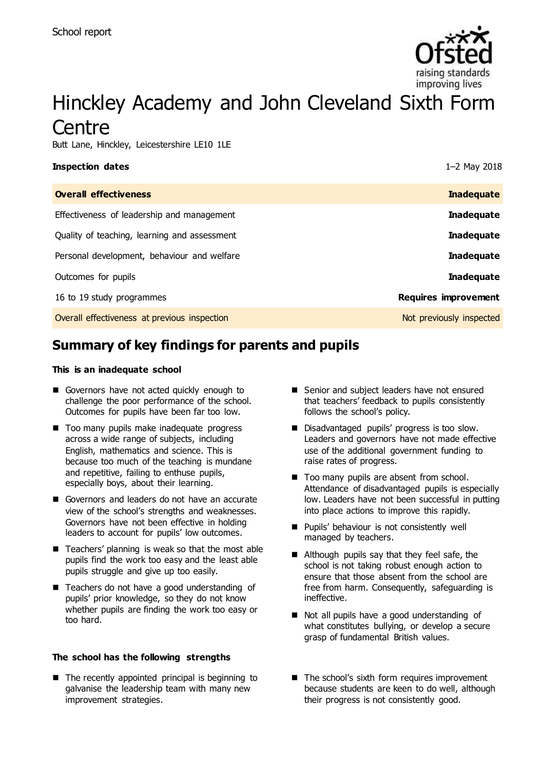

# Hinckley Academy and John Cleveland Sixth Form **Centre**

Butt Lane, Hinckley, Leicestershire LE10 1LE

| <b>Inspection dates</b>                      | 1-2 May 2018                |
|----------------------------------------------|-----------------------------|
| <b>Overall effectiveness</b>                 | <b>Inadequate</b>           |
| Effectiveness of leadership and management   | <b>Inadequate</b>           |
| Quality of teaching, learning and assessment | <b>Inadequate</b>           |
| Personal development, behaviour and welfare  | <b>Inadequate</b>           |
| Outcomes for pupils                          | <b>Inadequate</b>           |
| 16 to 19 study programmes                    | <b>Requires improvement</b> |
| Overall effectiveness at previous inspection | Not previously inspected    |

# **Summary of key findings for parents and pupils**

#### **This is an inadequate school**

- Governors have not acted quickly enough to challenge the poor performance of the school. Outcomes for pupils have been far too low.
- Too many pupils make inadequate progress across a wide range of subjects, including English, mathematics and science. This is because too much of the teaching is mundane and repetitive, failing to enthuse pupils, especially boys, about their learning.
- Governors and leaders do not have an accurate view of the school's strengths and weaknesses. Governors have not been effective in holding leaders to account for pupils' low outcomes.
- Teachers' planning is weak so that the most able pupils find the work too easy and the least able pupils struggle and give up too easily.
- Teachers do not have a good understanding of pupils' prior knowledge, so they do not know whether pupils are finding the work too easy or too hard.

#### **The school has the following strengths**

 $\blacksquare$  The recently appointed principal is beginning to galvanise the leadership team with many new improvement strategies.

- Senior and subject leaders have not ensured that teachers' feedback to pupils consistently follows the school's policy.
- Disadvantaged pupils' progress is too slow. Leaders and governors have not made effective use of the additional government funding to raise rates of progress.
- Too many pupils are absent from school. Attendance of disadvantaged pupils is especially low. Leaders have not been successful in putting into place actions to improve this rapidly.
- **Pupils' behaviour is not consistently well** managed by teachers.
- Although pupils say that they feel safe, the school is not taking robust enough action to ensure that those absent from the school are free from harm. Consequently, safeguarding is ineffective.
- Not all pupils have a good understanding of what constitutes bullying, or develop a secure grasp of fundamental British values.
- The school's sixth form requires improvement because students are keen to do well, although their progress is not consistently good.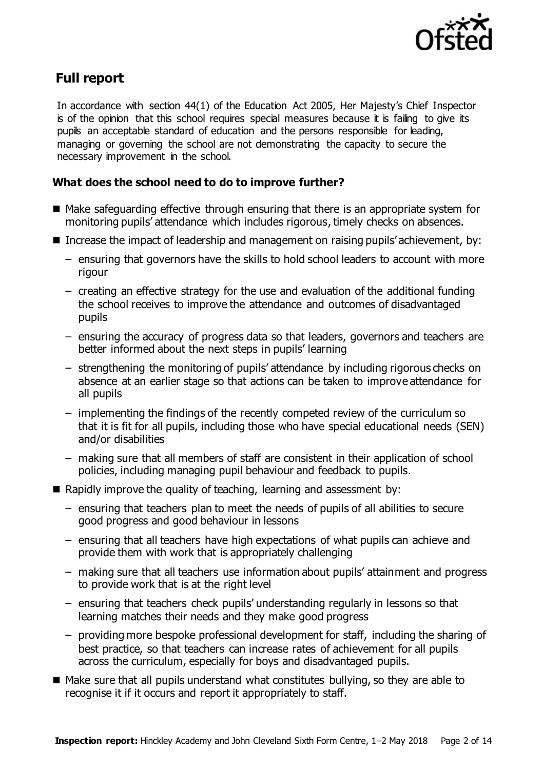

## **Full report**

In accordance with section 44(1) of the Education Act 2005, Her Majesty's Chief Inspector is of the opinion that this school requires special measures because it is failing to give its pupils an acceptable standard of education and the persons responsible for leading, managing or governing the school are not demonstrating the capacity to secure the necessary improvement in the school.

### **What does the school need to do to improve further?**

- $\blacksquare$  Make safeguarding effective through ensuring that there is an appropriate system for monitoring pupils' attendance which includes rigorous, timely checks on absences.
- Increase the impact of leadership and management on raising pupils' achievement, by:
	- ensuring that governors have the skills to hold school leaders to account with more rigour
	- creating an effective strategy for the use and evaluation of the additional funding the school receives to improve the attendance and outcomes of disadvantaged pupils
	- ensuring the accuracy of progress data so that leaders, governors and teachers are better informed about the next steps in pupils' learning
	- strengthening the monitoring of pupils' attendance by including rigorous checks on absence at an earlier stage so that actions can be taken to improve attendance for all pupils
	- implementing the findings of the recently competed review of the curriculum so that it is fit for all pupils, including those who have special educational needs (SEN) and/or disabilities
	- making sure that all members of staff are consistent in their application of school policies, including managing pupil behaviour and feedback to pupils.
- $\blacksquare$  Rapidly improve the quality of teaching, learning and assessment by:
	- ensuring that teachers plan to meet the needs of pupils of all abilities to secure good progress and good behaviour in lessons
	- ensuring that all teachers have high expectations of what pupils can achieve and provide them with work that is appropriately challenging
	- making sure that all teachers use information about pupils' attainment and progress to provide work that is at the right level
	- ensuring that teachers check pupils' understanding regularly in lessons so that learning matches their needs and they make good progress
	- providing more bespoke professional development for staff, including the sharing of best practice, so that teachers can increase rates of achievement for all pupils across the curriculum, especially for boys and disadvantaged pupils.
- Make sure that all pupils understand what constitutes bullying, so they are able to recognise it if it occurs and report it appropriately to staff.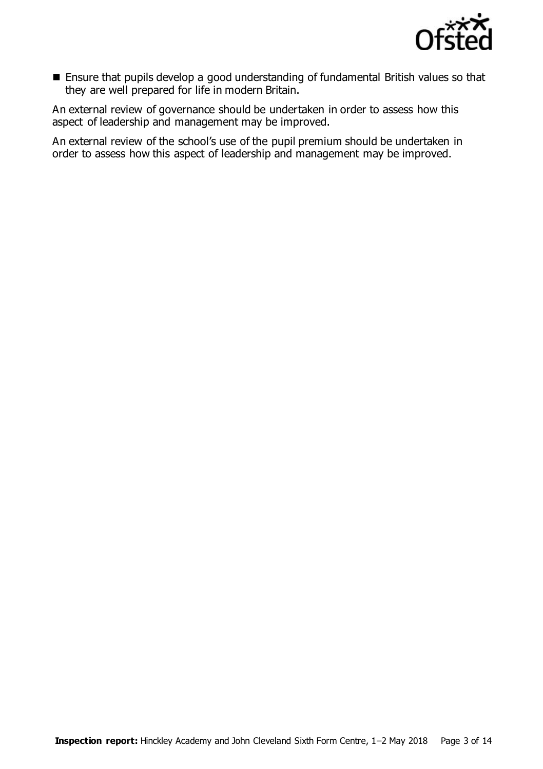

 Ensure that pupils develop a good understanding of fundamental British values so that they are well prepared for life in modern Britain.

An external review of governance should be undertaken in order to assess how this aspect of leadership and management may be improved.

An external review of the school's use of the pupil premium should be undertaken in order to assess how this aspect of leadership and management may be improved.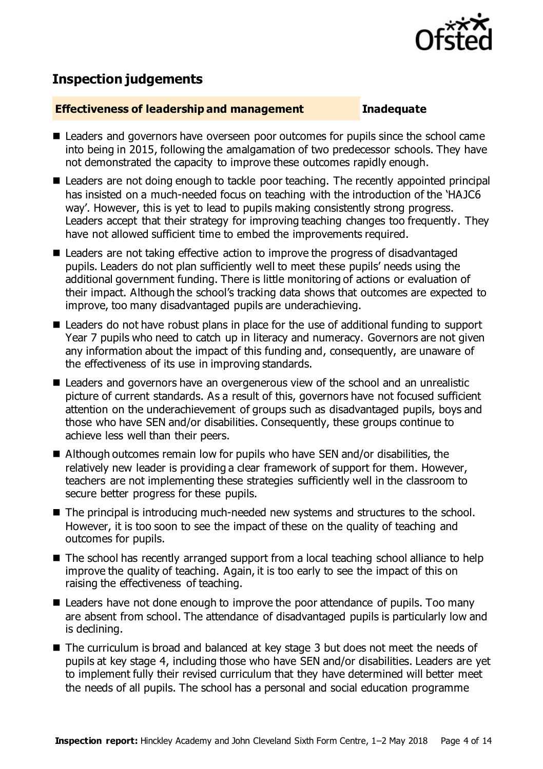

# **Inspection judgements**

#### **Effectiveness of leadership and management Inadequate**

- Leaders and governors have overseen poor outcomes for pupils since the school came into being in 2015, following the amalgamation of two predecessor schools. They have not demonstrated the capacity to improve these outcomes rapidly enough.
- Leaders are not doing enough to tackle poor teaching. The recently appointed principal has insisted on a much-needed focus on teaching with the introduction of the 'HAJC6 way'. However, this is yet to lead to pupils making consistently strong progress. Leaders accept that their strategy for improving teaching changes too frequently. They have not allowed sufficient time to embed the improvements required.
- Leaders are not taking effective action to improve the progress of disadvantaged pupils. Leaders do not plan sufficiently well to meet these pupils' needs using the additional government funding. There is little monitoring of actions or evaluation of their impact. Although the school's tracking data shows that outcomes are expected to improve, too many disadvantaged pupils are underachieving.
- Leaders do not have robust plans in place for the use of additional funding to support Year 7 pupils who need to catch up in literacy and numeracy. Governors are not given any information about the impact of this funding and, consequently, are unaware of the effectiveness of its use in improving standards.
- Leaders and governors have an overgenerous view of the school and an unrealistic picture of current standards. As a result of this, governors have not focused sufficient attention on the underachievement of groups such as disadvantaged pupils, boys and those who have SEN and/or disabilities. Consequently, these groups continue to achieve less well than their peers.
- Although outcomes remain low for pupils who have SEN and/or disabilities, the relatively new leader is providing a clear framework of support for them. However, teachers are not implementing these strategies sufficiently well in the classroom to secure better progress for these pupils.
- The principal is introducing much-needed new systems and structures to the school. However, it is too soon to see the impact of these on the quality of teaching and outcomes for pupils.
- The school has recently arranged support from a local teaching school alliance to help improve the quality of teaching. Again, it is too early to see the impact of this on raising the effectiveness of teaching.
- Leaders have not done enough to improve the poor attendance of pupils. Too many are absent from school. The attendance of disadvantaged pupils is particularly low and is declining.
- The curriculum is broad and balanced at key stage 3 but does not meet the needs of pupils at key stage 4, including those who have SEN and/or disabilities. Leaders are yet to implement fully their revised curriculum that they have determined will better meet the needs of all pupils. The school has a personal and social education programme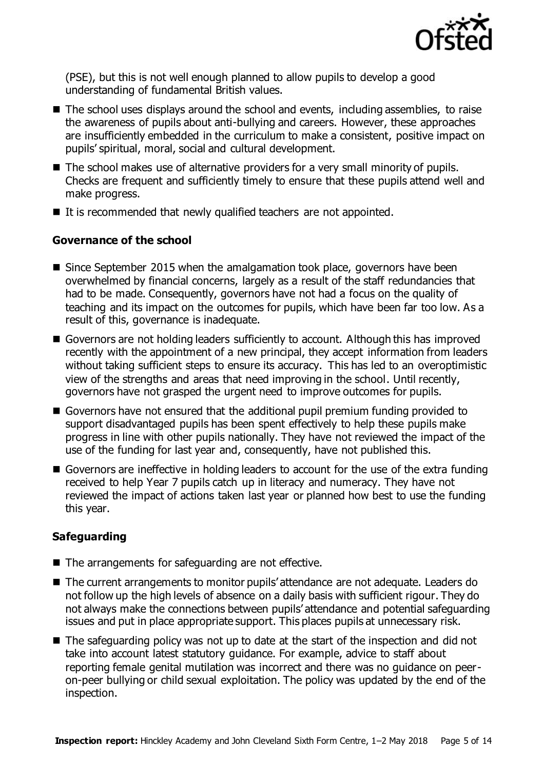

(PSE), but this is not well enough planned to allow pupils to develop a good understanding of fundamental British values.

- The school uses displays around the school and events, including assemblies, to raise the awareness of pupils about anti-bullying and careers. However, these approaches are insufficiently embedded in the curriculum to make a consistent, positive impact on pupils' spiritual, moral, social and cultural development.
- The school makes use of alternative providers for a very small minority of pupils. Checks are frequent and sufficiently timely to ensure that these pupils attend well and make progress.
- It is recommended that newly qualified teachers are not appointed.

### **Governance of the school**

- Since September 2015 when the amalgamation took place, governors have been overwhelmed by financial concerns, largely as a result of the staff redundancies that had to be made. Consequently, governors have not had a focus on the quality of teaching and its impact on the outcomes for pupils, which have been far too low. As a result of this, governance is inadequate.
- Governors are not holding leaders sufficiently to account. Although this has improved recently with the appointment of a new principal, they accept information from leaders without taking sufficient steps to ensure its accuracy. This has led to an overoptimistic view of the strengths and areas that need improving in the school. Until recently, governors have not grasped the urgent need to improve outcomes for pupils.
- Governors have not ensured that the additional pupil premium funding provided to support disadvantaged pupils has been spent effectively to help these pupils make progress in line with other pupils nationally. They have not reviewed the impact of the use of the funding for last year and, consequently, have not published this.
- Governors are ineffective in holding leaders to account for the use of the extra funding received to help Year 7 pupils catch up in literacy and numeracy. They have not reviewed the impact of actions taken last year or planned how best to use the funding this year.

#### **Safeguarding**

- The arrangements for safeguarding are not effective.
- The current arrangements to monitor pupils' attendance are not adequate. Leaders do not follow up the high levels of absence on a daily basis with sufficient rigour. They do not always make the connections between pupils' attendance and potential safeguarding issues and put in place appropriate support. This places pupils at unnecessary risk.
- The safeguarding policy was not up to date at the start of the inspection and did not take into account latest statutory guidance. For example, advice to staff about reporting female genital mutilation was incorrect and there was no guidance on peeron-peer bullying or child sexual exploitation. The policy was updated by the end of the inspection.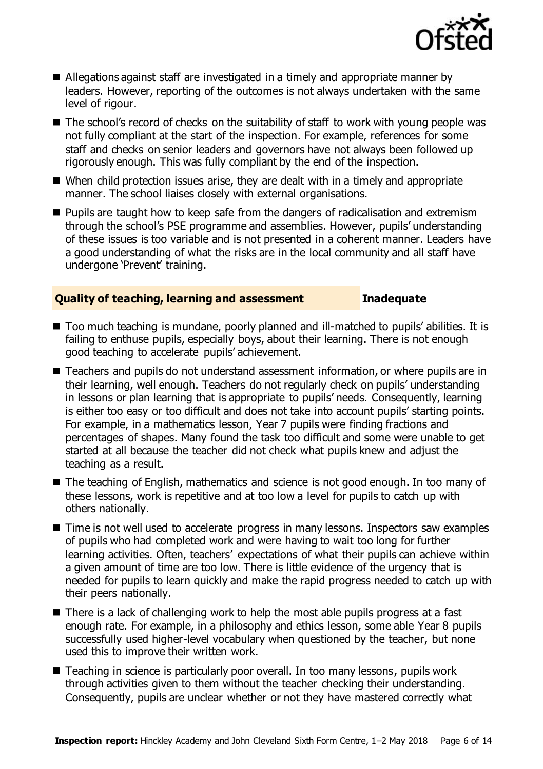

- Allegations against staff are investigated in a timely and appropriate manner by leaders. However, reporting of the outcomes is not always undertaken with the same level of rigour.
- The school's record of checks on the suitability of staff to work with young people was not fully compliant at the start of the inspection. For example, references for some staff and checks on senior leaders and governors have not always been followed up rigorously enough. This was fully compliant by the end of the inspection.
- When child protection issues arise, they are dealt with in a timely and appropriate manner. The school liaises closely with external organisations.
- **Pupils are taught how to keep safe from the dangers of radicalisation and extremism** through the school's PSE programme and assemblies. However, pupils' understanding of these issues is too variable and is not presented in a coherent manner. Leaders have a good understanding of what the risks are in the local community and all staff have undergone 'Prevent' training.

#### **Quality of teaching, learning and assessment Inadequate**

- Too much teaching is mundane, poorly planned and ill-matched to pupils' abilities. It is failing to enthuse pupils, especially boys, about their learning. There is not enough good teaching to accelerate pupils' achievement.
- Teachers and pupils do not understand assessment information, or where pupils are in their learning, well enough. Teachers do not regularly check on pupils' understanding in lessons or plan learning that is appropriate to pupils' needs. Consequently, learning is either too easy or too difficult and does not take into account pupils' starting points. For example, in a mathematics lesson, Year 7 pupils were finding fractions and percentages of shapes. Many found the task too difficult and some were unable to get started at all because the teacher did not check what pupils knew and adjust the teaching as a result.
- The teaching of English, mathematics and science is not good enough. In too many of these lessons, work is repetitive and at too low a level for pupils to catch up with others nationally.
- Time is not well used to accelerate progress in many lessons. Inspectors saw examples of pupils who had completed work and were having to wait too long for further learning activities. Often, teachers' expectations of what their pupils can achieve within a given amount of time are too low. There is little evidence of the urgency that is needed for pupils to learn quickly and make the rapid progress needed to catch up with their peers nationally.
- There is a lack of challenging work to help the most able pupils progress at a fast enough rate. For example, in a philosophy and ethics lesson, some able Year 8 pupils successfully used higher-level vocabulary when questioned by the teacher, but none used this to improve their written work.
- Teaching in science is particularly poor overall. In too many lessons, pupils work through activities given to them without the teacher checking their understanding. Consequently, pupils are unclear whether or not they have mastered correctly what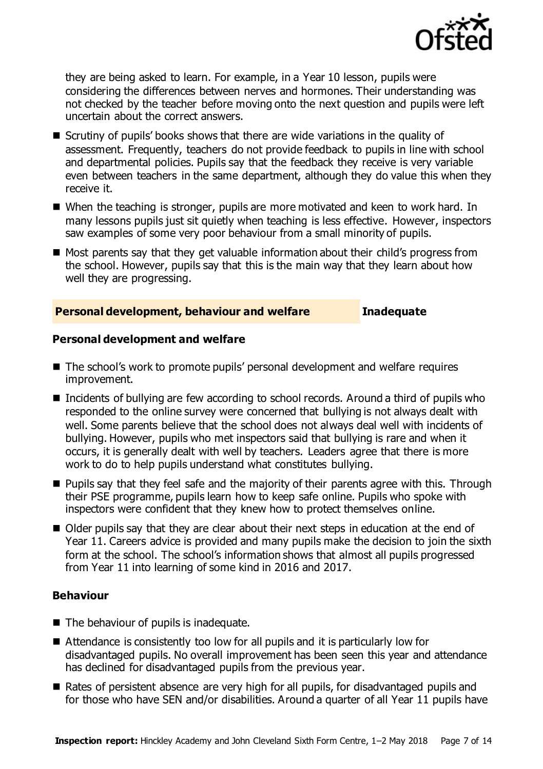

they are being asked to learn. For example, in a Year 10 lesson, pupils were considering the differences between nerves and hormones. Their understanding was not checked by the teacher before moving onto the next question and pupils were left uncertain about the correct answers.

- Scrutiny of pupils' books shows that there are wide variations in the quality of assessment. Frequently, teachers do not provide feedback to pupils in line with school and departmental policies. Pupils say that the feedback they receive is very variable even between teachers in the same department, although they do value this when they receive it.
- When the teaching is stronger, pupils are more motivated and keen to work hard. In many lessons pupils just sit quietly when teaching is less effective. However, inspectors saw examples of some very poor behaviour from a small minority of pupils.
- $\blacksquare$  Most parents say that they get valuable information about their child's progress from the school. However, pupils say that this is the main way that they learn about how well they are progressing.

#### **Personal development, behaviour and welfare Inadequate**

#### **Personal development and welfare**

- The school's work to promote pupils' personal development and welfare requires improvement.
- Incidents of bullying are few according to school records. Around a third of pupils who responded to the online survey were concerned that bullying is not always dealt with well. Some parents believe that the school does not always deal well with incidents of bullying. However, pupils who met inspectors said that bullying is rare and when it occurs, it is generally dealt with well by teachers. Leaders agree that there is more work to do to help pupils understand what constitutes bullying.
- **Pupils say that they feel safe and the majority of their parents agree with this. Through** their PSE programme, pupils learn how to keep safe online. Pupils who spoke with inspectors were confident that they knew how to protect themselves online.
- Older pupils say that they are clear about their next steps in education at the end of Year 11. Careers advice is provided and many pupils make the decision to join the sixth form at the school. The school's information shows that almost all pupils progressed from Year 11 into learning of some kind in 2016 and 2017.

#### **Behaviour**

- The behaviour of pupils is inadequate.
- Attendance is consistently too low for all pupils and it is particularly low for disadvantaged pupils. No overall improvement has been seen this year and attendance has declined for disadvantaged pupils from the previous year.
- Rates of persistent absence are very high for all pupils, for disadvantaged pupils and for those who have SEN and/or disabilities. Around a quarter of all Year 11 pupils have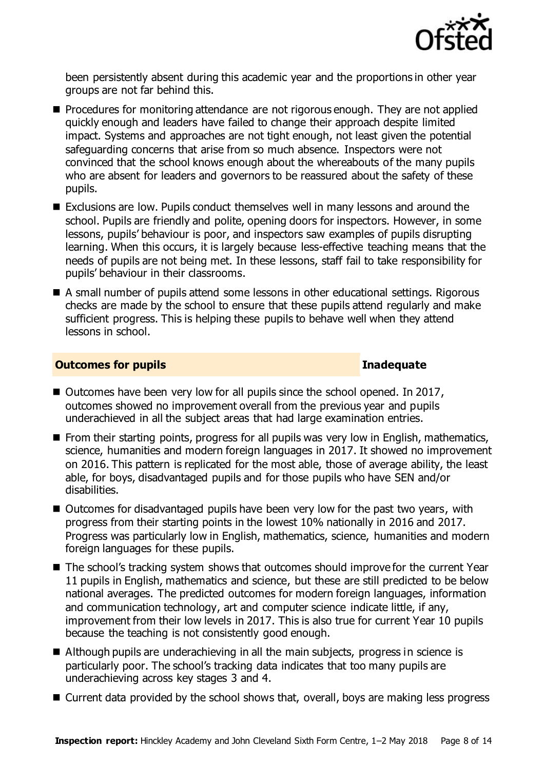

been persistently absent during this academic year and the proportions in other year groups are not far behind this.

- **Procedures for monitoring attendance are not rigorous enough. They are not applied** quickly enough and leaders have failed to change their approach despite limited impact. Systems and approaches are not tight enough, not least given the potential safeguarding concerns that arise from so much absence. Inspectors were not convinced that the school knows enough about the whereabouts of the many pupils who are absent for leaders and governors to be reassured about the safety of these pupils.
- Exclusions are low. Pupils conduct themselves well in many lessons and around the school. Pupils are friendly and polite, opening doors for inspectors. However, in some lessons, pupils' behaviour is poor, and inspectors saw examples of pupils disrupting learning. When this occurs, it is largely because less-effective teaching means that the needs of pupils are not being met. In these lessons, staff fail to take responsibility for pupils' behaviour in their classrooms.
- A small number of pupils attend some lessons in other educational settings. Rigorous checks are made by the school to ensure that these pupils attend regularly and make sufficient progress. This is helping these pupils to behave well when they attend lessons in school.

### **Outcomes for pupils Inadequate**

- Outcomes have been very low for all pupils since the school opened. In 2017, outcomes showed no improvement overall from the previous year and pupils underachieved in all the subject areas that had large examination entries.
- **From their starting points, progress for all pupils was very low in English, mathematics,** science, humanities and modern foreign languages in 2017. It showed no improvement on 2016. This pattern is replicated for the most able, those of average ability, the least able, for boys, disadvantaged pupils and for those pupils who have SEN and/or disabilities.
- Outcomes for disadvantaged pupils have been very low for the past two years, with progress from their starting points in the lowest 10% nationally in 2016 and 2017. Progress was particularly low in English, mathematics, science, humanities and modern foreign languages for these pupils.
- The school's tracking system shows that outcomes should improve for the current Year 11 pupils in English, mathematics and science, but these are still predicted to be below national averages. The predicted outcomes for modern foreign languages, information and communication technology, art and computer science indicate little, if any, improvement from their low levels in 2017. This is also true for current Year 10 pupils because the teaching is not consistently good enough.
- Although pupils are underachieving in all the main subjects, progress in science is particularly poor. The school's tracking data indicates that too many pupils are underachieving across key stages 3 and 4.
- Current data provided by the school shows that, overall, boys are making less progress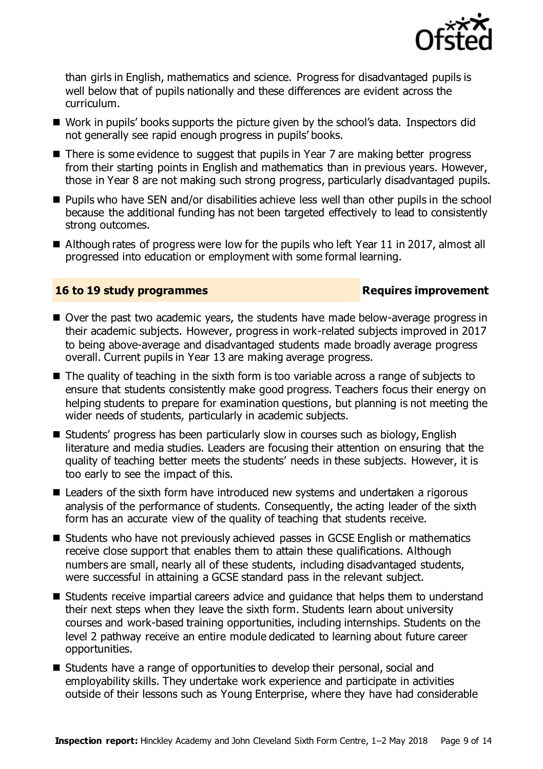

than girls in English, mathematics and science. Progress for disadvantaged pupils is well below that of pupils nationally and these differences are evident across the curriculum.

- Work in pupils' books supports the picture given by the school's data. Inspectors did not generally see rapid enough progress in pupils' books.
- There is some evidence to suggest that pupils in Year 7 are making better progress from their starting points in English and mathematics than in previous years. However, those in Year 8 are not making such strong progress, particularly disadvantaged pupils.
- Pupils who have SEN and/or disabilities achieve less well than other pupils in the school because the additional funding has not been targeted effectively to lead to consistently strong outcomes.
- Although rates of progress were low for the pupils who left Year 11 in 2017, almost all progressed into education or employment with some formal learning.

### **16 to 19 study programmes Requires improvement**

- Over the past two academic vears, the students have made below-average progress in their academic subjects. However, progress in work-related subjects improved in 2017 to being above-average and disadvantaged students made broadly average progress overall. Current pupils in Year 13 are making average progress.
- The quality of teaching in the sixth form is too variable across a range of subjects to ensure that students consistently make good progress. Teachers focus their energy on helping students to prepare for examination questions, but planning is not meeting the wider needs of students, particularly in academic subjects.
- Students' progress has been particularly slow in courses such as biology, English literature and media studies. Leaders are focusing their attention on ensuring that the quality of teaching better meets the students' needs in these subjects. However, it is too early to see the impact of this.
- Leaders of the sixth form have introduced new systems and undertaken a rigorous analysis of the performance of students. Consequently, the acting leader of the sixth form has an accurate view of the quality of teaching that students receive.
- Students who have not previously achieved passes in GCSE English or mathematics receive close support that enables them to attain these qualifications. Although numbers are small, nearly all of these students, including disadvantaged students, were successful in attaining a GCSE standard pass in the relevant subject.
- Students receive impartial careers advice and quidance that helps them to understand their next steps when they leave the sixth form. Students learn about university courses and work-based training opportunities, including internships. Students on the level 2 pathway receive an entire module dedicated to learning about future career opportunities.
- Students have a range of opportunities to develop their personal, social and employability skills. They undertake work experience and participate in activities outside of their lessons such as Young Enterprise, where they have had considerable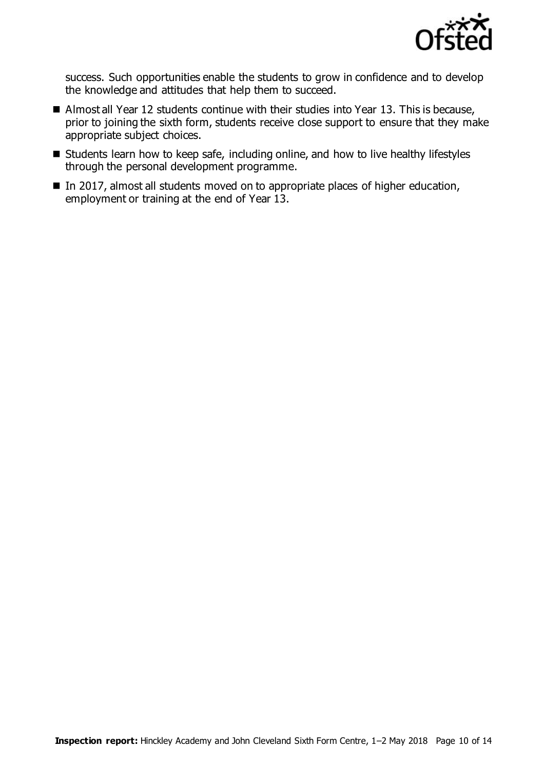

success. Such opportunities enable the students to grow in confidence and to develop the knowledge and attitudes that help them to succeed.

- Almost all Year 12 students continue with their studies into Year 13. This is because, prior to joining the sixth form, students receive close support to ensure that they make appropriate subject choices.
- **Students learn how to keep safe, including online, and how to live healthy lifestyles** through the personal development programme.
- In 2017, almost all students moved on to appropriate places of higher education, employment or training at the end of Year 13.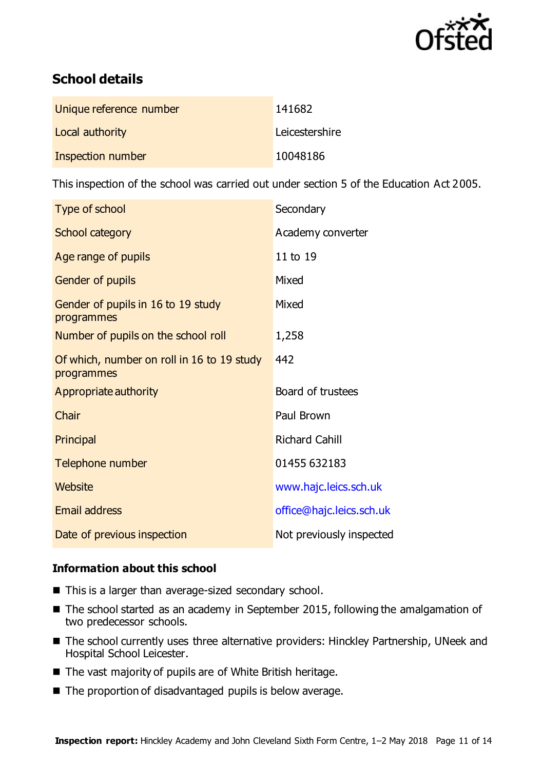

# **School details**

| Unique reference number | 141682         |
|-------------------------|----------------|
| Local authority         | Leicestershire |
| Inspection number       | 10048186       |

This inspection of the school was carried out under section 5 of the Education Act 2005.

| Type of school                                           | Secondary                |
|----------------------------------------------------------|--------------------------|
| School category                                          | Academy converter        |
| Age range of pupils                                      | 11 to 19                 |
| Gender of pupils                                         | Mixed                    |
| Gender of pupils in 16 to 19 study<br>programmes         | Mixed                    |
| Number of pupils on the school roll                      | 1,258                    |
| Of which, number on roll in 16 to 19 study<br>programmes | 442                      |
| Appropriate authority                                    | Board of trustees        |
| Chair                                                    | Paul Brown               |
| Principal                                                | <b>Richard Cahill</b>    |
| Telephone number                                         | 01455 632183             |
| Website                                                  | www.hajc.leics.sch.uk    |
| <b>Email address</b>                                     | office@hajc.leics.sch.uk |
| Date of previous inspection                              | Not previously inspected |

### **Information about this school**

- This is a larger than average-sized secondary school.
- The school started as an academy in September 2015, following the amalgamation of two predecessor schools.
- The school currently uses three alternative providers: Hinckley Partnership, UNeek and Hospital School Leicester.
- The vast majority of pupils are of White British heritage.
- The proportion of disadvantaged pupils is below average.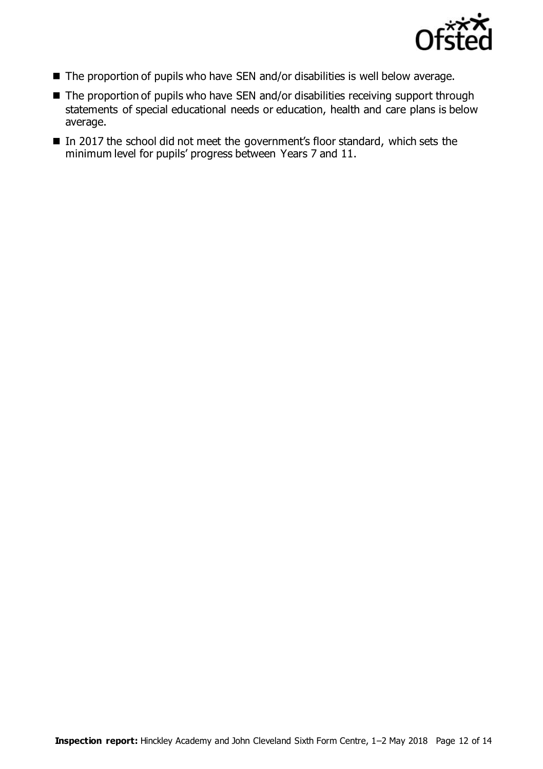

- The proportion of pupils who have SEN and/or disabilities is well below average.
- The proportion of pupils who have SEN and/or disabilities receiving support through statements of special educational needs or education, health and care plans is below average.
- In 2017 the school did not meet the government's floor standard, which sets the minimum level for pupils' progress between Years 7 and 11.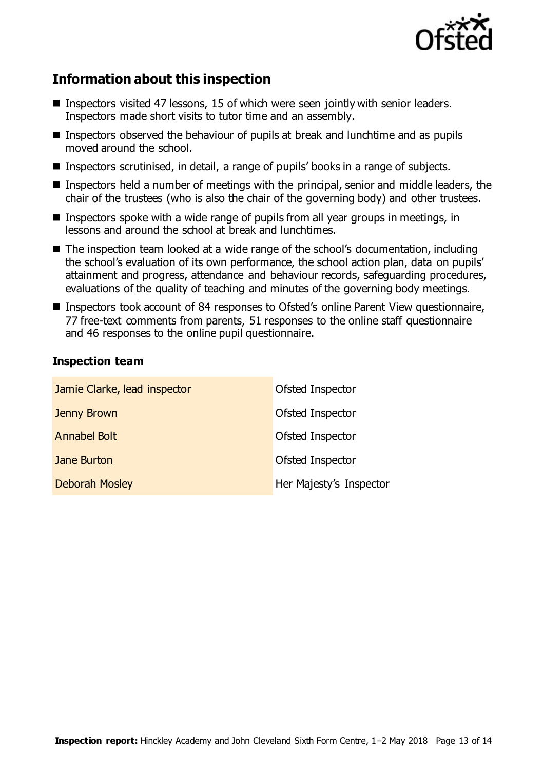

# **Information about this inspection**

- Inspectors visited 47 lessons, 15 of which were seen jointly with senior leaders. Inspectors made short visits to tutor time and an assembly.
- Inspectors observed the behaviour of pupils at break and lunchtime and as pupils moved around the school.
- Inspectors scrutinised, in detail, a range of pupils' books in a range of subjects.
- Inspectors held a number of meetings with the principal, senior and middle leaders, the chair of the trustees (who is also the chair of the governing body) and other trustees.
- Inspectors spoke with a wide range of pupils from all year groups in meetings, in lessons and around the school at break and lunchtimes.
- The inspection team looked at a wide range of the school's documentation, including the school's evaluation of its own performance, the school action plan, data on pupils' attainment and progress, attendance and behaviour records, safeguarding procedures, evaluations of the quality of teaching and minutes of the governing body meetings.
- Inspectors took account of 84 responses to Ofsted's online Parent View questionnaire, 77 free-text comments from parents, 51 responses to the online staff questionnaire and 46 responses to the online pupil questionnaire.

### **Inspection team**

| Jamie Clarke, lead inspector | Ofsted Inspector        |
|------------------------------|-------------------------|
| Jenny Brown                  | Ofsted Inspector        |
| <b>Annabel Bolt</b>          | Ofsted Inspector        |
| Jane Burton                  | Ofsted Inspector        |
| <b>Deborah Mosley</b>        | Her Majesty's Inspector |